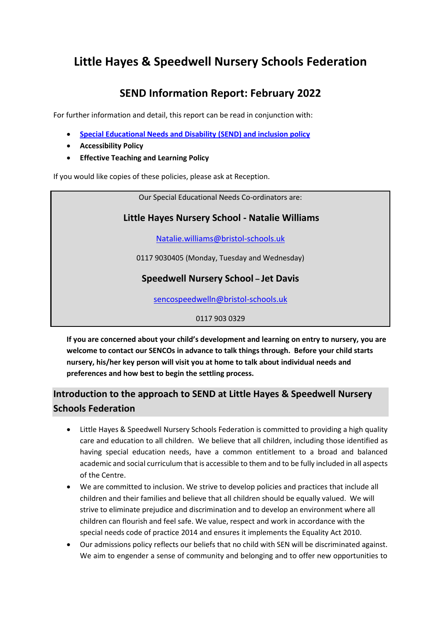# **Little Hayes & Speedwell Nursery Schools Federation**

# **SEND Information Report: February 2022**

For further information and detail, this report can be read in conjunction with:

- **[Special Educational Needs and Disability](https://www.littlehayes.org/_files/ugd/16dbd6_b8b0edcf91d743b286cbafaa92eae206.pdf) (SEND) and inclusion policy**
- **Accessibility Policy**
- **Effective Teaching and Learning Policy**

If you would like copies of these policies, please ask at Reception.

Our Special Educational Needs Co-ordinators are:

### **Little Hayes Nursery School - Natalie Williams**

[Natalie.williams@bristol-schools.uk](mailto:Natalie.williams@bristol-schools.uk)

0117 9030405 (Monday, Tuesday and Wednesday)

### **Speedwell Nursery School – Jet Davis**

[sencospeedwelln@bristol-schools.uk](mailto:sencospeedwelln@bristol-schools.uk)

0117 903 0329

**If you are concerned about your child's development and learning on entry to nursery, you are welcome to contact our SENCOs in advance to talk things through. Before your child starts nursery, his/her key person will visit you at home to talk about individual needs and preferences and how best to begin the settling process.**

## **Introduction to the approach to SEND at Little Hayes & Speedwell Nursery Schools Federation**

- Little Hayes & Speedwell Nursery Schools Federation is committed to providing a high quality care and education to all children. We believe that all children, including those identified as having special education needs, have a common entitlement to a broad and balanced academic and social curriculum that is accessible to them and to be fully included in all aspects of the Centre.
- We are committed to inclusion. We strive to develop policies and practices that include all children and their families and believe that all children should be equally valued. We will strive to eliminate prejudice and discrimination and to develop an environment where all children can flourish and feel safe. We value, respect and work in accordance with the special needs code of practice 2014 and ensures it implements the Equality Act 2010.
- Our admissions policy reflects our beliefs that no child with SEN will be discriminated against. We aim to engender a sense of community and belonging and to offer new opportunities to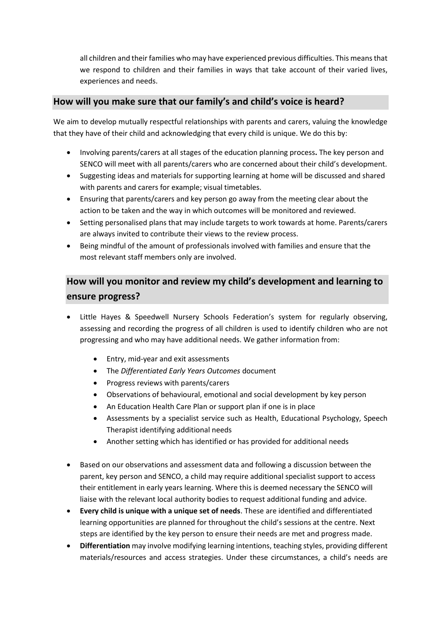all children and their families who may have experienced previous difficulties. This means that we respond to children and their families in ways that take account of their varied lives, experiences and needs.

#### **How will you make sure that our family's and child's voice is heard?**

We aim to develop mutually respectful relationships with parents and carers, valuing the knowledge that they have of their child and acknowledging that every child is unique. We do this by:

- Involving parents/carers at all stages of the education planning process**.** The key person and SENCO will meet with all parents/carers who are concerned about their child's development.
- Suggesting ideas and materials for supporting learning at home will be discussed and shared with parents and carers for example; visual timetables.
- Ensuring that parents/carers and key person go away from the meeting clear about the action to be taken and the way in which outcomes will be monitored and reviewed.
- Setting personalised plans that may include targets to work towards at home. Parents/carers are always invited to contribute their views to the review process.
- Being mindful of the amount of professionals involved with families and ensure that the most relevant staff members only are involved.

## **How will you monitor and review my child's development and learning to ensure progress?**

- Little Hayes & Speedwell Nursery Schools Federation's system for regularly observing, assessing and recording the progress of all children is used to identify children who are not progressing and who may have additional needs. We gather information from:
	- Entry, mid-year and exit assessments
	- The *Differentiated Early Years Outcomes* document
	- Progress reviews with parents/carers
	- Observations of behavioural, emotional and social development by key person
	- An Education Health Care Plan or support plan if one is in place
	- Assessments by a specialist service such as Health, Educational Psychology, Speech Therapist identifying additional needs
	- Another setting which has identified or has provided for additional needs
- Based on our observations and assessment data and following a discussion between the parent, key person and SENCO, a child may require additional specialist support to access their entitlement in early years learning. Where this is deemed necessary the SENCO will liaise with the relevant local authority bodies to request additional funding and advice.
- **Every child is unique with a unique set of needs**. These are identified and differentiated learning opportunities are planned for throughout the child's sessions at the centre. Next steps are identified by the key person to ensure their needs are met and progress made.
- **Differentiation** may involve modifying learning intentions, teaching styles, providing different materials/resources and access strategies. Under these circumstances, a child's needs are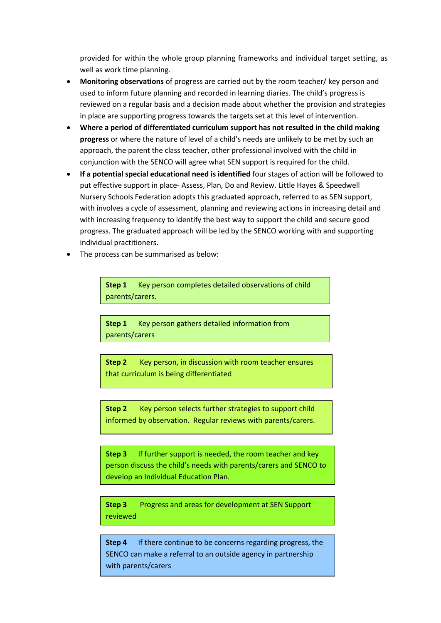provided for within the whole group planning frameworks and individual target setting, as well as work time planning.

- **Monitoring observations** of progress are carried out by the room teacher/ key person and used to inform future planning and recorded in learning diaries. The child's progress is reviewed on a regular basis and a decision made about whether the provision and strategies in place are supporting progress towards the targets set at this level of intervention.
- **Where a period of differentiated curriculum support has not resulted in the child making progress** or where the nature of level of a child's needs are unlikely to be met by such an approach, the parent the class teacher, other professional involved with the child in conjunction with the SENCO will agree what SEN support is required for the child.
- **If a potential special educational need is identified** four stages of action will be followed to put effective support in place- Assess, Plan, Do and Review. Little Hayes & Speedwell Nursery Schools Federation adopts this graduated approach, referred to as SEN support, with involves a cycle of assessment, planning and reviewing actions in increasing detail and with increasing frequency to identify the best way to support the child and secure good progress. The graduated approach will be led by the SENCO working with and supporting individual practitioners.
- The process can be summarised as below:

**Step 1** Key person completes detailed observations of child parents/carers.

**Step 1** Key person gathers detailed information from parents/carers

**Step 2** Key person, in discussion with room teacher ensures that curriculum is being differentiated

**Step 2** Key person selects further strategies to support child informed by observation. Regular reviews with parents/carers.

**Step 3** If further support is needed, the room teacher and key person discuss the child's needs with parents/carers and SENCO to develop an Individual Education Plan.

**Step 3** Progress and areas for development at SEN Support reviewed

**Step 4** If there continue to be concerns regarding progress, the SENCO can make a referral to an outside agency in partnership with parents/carers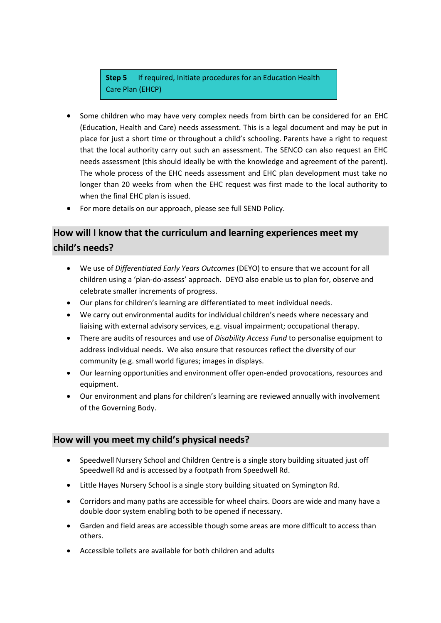### **Step 5** If required, Initiate procedures for an Education Health Care Plan (EHCP)

- Some children who may have very complex needs from birth can be considered for an EHC (Education, Health and Care) needs assessment. This is a legal document and may be put in place for just a short time or throughout a child's schooling. Parents have a right to request that the local authority carry out such an assessment. The SENCO can also request an EHC needs assessment (this should ideally be with the knowledge and agreement of the parent). The whole process of the EHC needs assessment and EHC plan development must take no longer than 20 weeks from when the EHC request was first made to the local authority to when the final EHC plan is issued.
- For more details on our approach, please see full SEND Policy.

### **How will I know that the curriculum and learning experiences meet my child's needs?**

- We use of *Differentiated Early Years Outcomes* (DEYO) to ensure that we account for all children using a 'plan-do-assess' approach. DEYO also enable us to plan for, observe and celebrate smaller increments of progress.
- Our plans for children's learning are differentiated to meet individual needs.
- We carry out environmental audits for individual children's needs where necessary and liaising with external advisory services, e.g. visual impairment; occupational therapy.
- There are audits of resources and use of *Disability Access Fund* to personalise equipment to address individual needs. We also ensure that resources reflect the diversity of our community (e.g. small world figures; images in displays.
- Our learning opportunities and environment offer open-ended provocations, resources and equipment.
- Our environment and plans for children's learning are reviewed annually with involvement of the Governing Body.

### **How will you meet my child's physical needs?**

- Speedwell Nursery School and Children Centre is a single story building situated just off Speedwell Rd and is accessed by a footpath from Speedwell Rd.
- Little Hayes Nursery School is a single story building situated on Symington Rd.
- Corridors and many paths are accessible for wheel chairs. Doors are wide and many have a double door system enabling both to be opened if necessary.
- Garden and field areas are accessible though some areas are more difficult to access than others.
- Accessible toilets are available for both children and adults